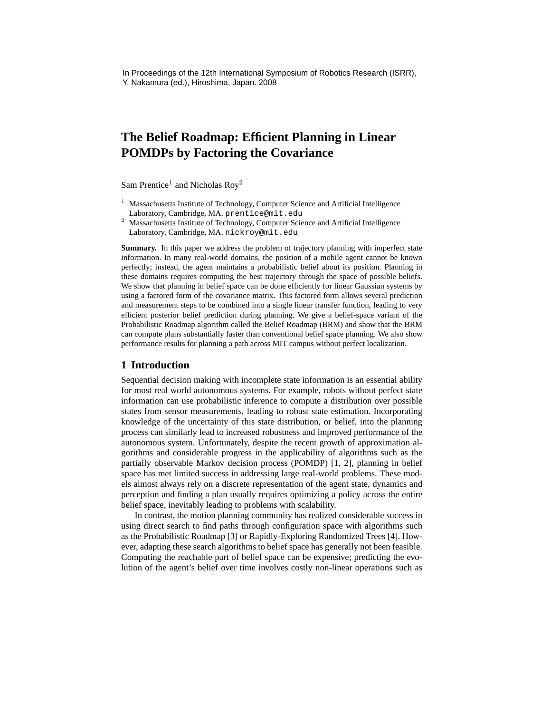# **The Belief Roadmap: Efficient Planning in Linear POMDPs by Factoring the Covariance**

Sam Prentice<sup>1</sup> and Nicholas  $\text{Roy}^2$ 

- <sup>1</sup> Massachusetts Institute of Technology, Computer Science and Artificial Intelligence Laboratory, Cambridge, MA. prentice@mit.edu
- 2 Massachusetts Institute of Technology, Computer Science and Artificial Intelligence Laboratory, Cambridge, MA. nickroy@mit.edu

Summary. In this paper we address the problem of trajectory planning with imperfect state information. In many real-world domains, the position of a mobile agent cannot be known perfectly; instead, the agent maintains a probabilistic belief about its position. Planning in these domains requires computing the best trajectory through the space of possible beliefs. We show that planning in belief space can be done efficiently for linear Gaussian systems by using a factored form of the covariance matrix. This factored form allows several prediction and measurement steps to be combined into a single linear transfer function, leading to very efficient posterior belief prediction during planning. We give a belief-space variant of the Probabilistic Roadmap algorithm called the Belief Roadmap (BRM) and show that the BRM can compute plans substantially faster than conventional belief space planning. We also show performance results for planning a path across MIT campus without perfect localization.

### **1 Introduction**

Sequential decision making with incomplete state information is an essential ability for most real world autonomous systems. For example, robots without perfect state information can use probabilistic inference to compute a distribution over possible states from sensor measurements, leading to robust state estimation. Incorporating knowledge of the uncertainty of this state distribution, or belief, into the planning process can similarly lead to increased robustness and improved performance of the autonomous system. Unfortunately, despite the recent growth of approximation algorithms and considerable progress in the applicability of algorithms such as the partially observable Markov decision process (POMDP) [1, 2], planning in belief space has met limited success in addressing large real-world problems. These models almost always rely on a discrete representation of the agent state, dynamics and perception and finding a plan usually requires optimizing a policy across the entire belief space, inevitably leading to problems with scalability.

In contrast, the motion planning community has realized considerable success in using direct search to find paths through configuration space with algorithms such as the Probabilistic Roadmap [3] or Rapidly-Exploring Randomized Trees [4]. However, adapting these search algorithms to belief space has generally not been feasible. Computing the reachable part of belief space can be expensive; predicting the evolution of the agent's belief over time involves costly non-linear operations such as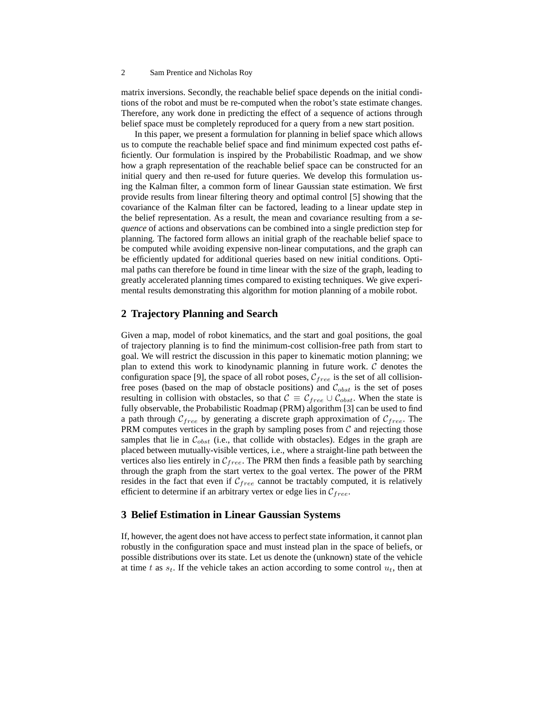#### 2 Sam Prentice and Nicholas Roy

matrix inversions. Secondly, the reachable belief space depends on the initial conditions of the robot and must be re-computed when the robot's state estimate changes. Therefore, any work done in predicting the effect of a sequence of actions through belief space must be completely reproduced for a query from a new start position.

In this paper, we present a formulation for planning in belief space which allows us to compute the reachable belief space and find minimum expected cost paths efficiently. Our formulation is inspired by the Probabilistic Roadmap, and we show how a graph representation of the reachable belief space can be constructed for an initial query and then re-used for future queries. We develop this formulation using the Kalman filter, a common form of linear Gaussian state estimation. We first provide results from linear filtering theory and optimal control [5] showing that the covariance of the Kalman filter can be factored, leading to a linear update step in the belief representation. As a result, the mean and covariance resulting from a *sequence* of actions and observations can be combined into a single prediction step for planning. The factored form allows an initial graph of the reachable belief space to be computed while avoiding expensive non-linear computations, and the graph can be efficiently updated for additional queries based on new initial conditions. Optimal paths can therefore be found in time linear with the size of the graph, leading to greatly accelerated planning times compared to existing techniques. We give experimental results demonstrating this algorithm for motion planning of a mobile robot.

## **2 Trajectory Planning and Search**

Given a map, model of robot kinematics, and the start and goal positions, the goal of trajectory planning is to find the minimum-cost collision-free path from start to goal. We will restrict the discussion in this paper to kinematic motion planning; we plan to extend this work to kinodynamic planning in future work. C denotes the configuration space [9], the space of all robot poses,  $C_{free}$  is the set of all collisionfree poses (based on the map of obstacle positions) and  $\mathcal{C}_{obst}$  is the set of poses resulting in collision with obstacles, so that  $C \equiv C_{free} \cup C_{obst}$ . When the state is fully observable, the Probabilistic Roadmap (PRM) algorithm [3] can be used to find a path through  $C_{free}$  by generating a discrete graph approximation of  $C_{free}$ . The PRM computes vertices in the graph by sampling poses from  $C$  and rejecting those samples that lie in  $C_{obst}$  (i.e., that collide with obstacles). Edges in the graph are placed between mutually-visible vertices, i.e., where a straight-line path between the vertices also lies entirely in  $C_{free}$ . The PRM then finds a feasible path by searching through the graph from the start vertex to the goal vertex. The power of the PRM resides in the fact that even if  $C_{free}$  cannot be tractably computed, it is relatively efficient to determine if an arbitrary vertex or edge lies in  $C_{free}$ .

#### **3 Belief Estimation in Linear Gaussian Systems**

If, however, the agent does not have access to perfect state information, it cannot plan robustly in the configuration space and must instead plan in the space of beliefs, or possible distributions over its state. Let us denote the (unknown) state of the vehicle at time t as  $s_t$ . If the vehicle takes an action according to some control  $u_t$ , then at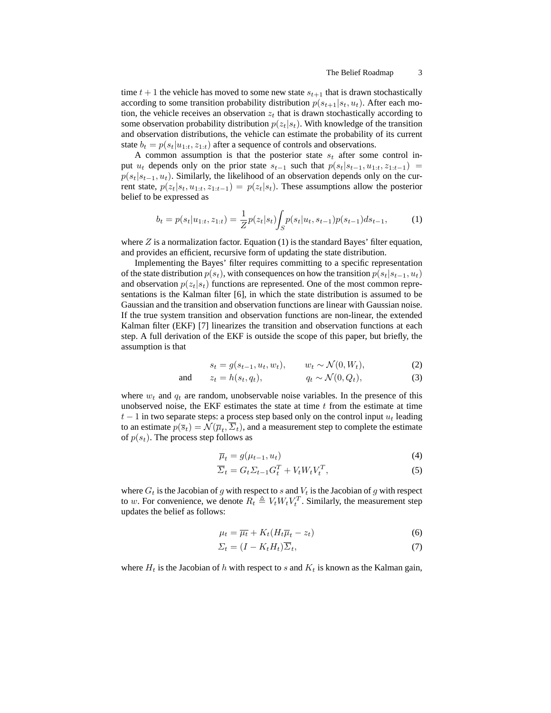time  $t + 1$  the vehicle has moved to some new state  $s_{t+1}$  that is drawn stochastically according to some transition probability distribution  $p(s_{t+1}|s_t, u_t)$ . After each motion, the vehicle receives an observation  $z_t$  that is drawn stochastically according to some observation probability distribution  $p(z_t|s_t)$ . With knowledge of the transition and observation distributions, the vehicle can estimate the probability of its current state  $b_t = p(s_t|u_{1:t}, z_{1:t})$  after a sequence of controls and observations.

A common assumption is that the posterior state  $s_t$  after some control input  $u_t$  depends only on the prior state  $s_{t-1}$  such that  $p(s_t|s_{t-1}, u_{1:t}, z_{1:t-1})$  =  $p(s_t|s_{t-1}, u_t)$ . Similarly, the likelihood of an observation depends only on the current state,  $p(z_t|s_t, u_{1:t}, z_{1:t-1}) = p(z_t|s_t)$ . These assumptions allow the posterior belief to be expressed as

$$
b_t = p(s_t|u_{1:t}, z_{1:t}) = \frac{1}{Z}p(z_t|s_t)\int_S p(s_t|u_t, s_{t-1})p(s_{t-1})ds_{t-1},
$$
 (1)

where  $Z$  is a normalization factor. Equation (1) is the standard Bayes' filter equation, and provides an efficient, recursive form of updating the state distribution.

Implementing the Bayes' filter requires committing to a specific representation of the state distribution  $p(s_t)$ , with consequences on how the transition  $p(s_t|s_{t-1}, u_t)$ and observation  $p(z_t|s_t)$  functions are represented. One of the most common representations is the Kalman filter [6], in which the state distribution is assumed to be Gaussian and the transition and observation functions are linear with Gaussian noise. If the true system transition and observation functions are non-linear, the extended Kalman filter (EKF) [7] linearizes the transition and observation functions at each step. A full derivation of the EKF is outside the scope of this paper, but briefly, the assumption is that

$$
s_t = g(s_{t-1}, u_t, w_t), \qquad w_t \sim \mathcal{N}(0, W_t), \tag{2}
$$

and 
$$
z_t = h(s_t, q_t),
$$
  $q_t \sim \mathcal{N}(0, Q_t),$  (3)

where  $w_t$  and  $q_t$  are random, unobservable noise variables. In the presence of this unobserved noise, the EKF estimates the state at time  $t$  from the estimate at time  $t-1$  in two separate steps: a process step based only on the control input  $u_t$  leading to an estimate  $p(\overline{s}_t) = \mathcal{N}(\overline{\mu}_t, \Sigma_t)$ , and a measurement step to complete the estimate of  $p(s_t)$ . The process step follows as

$$
\overline{\mu}_t = g(\mu_{t-1}, u_t) \tag{4}
$$

$$
\overline{\Sigma}_t = G_t \Sigma_{t-1} G_t^T + V_t W_t V_t^T, \tag{5}
$$

where  $G_t$  is the Jacobian of g with respect to s and  $V_t$  is the Jacobian of g with respect to w. For convenience, we denote  $R_t \triangleq V_t W_t V_t^T$ . Similarly, the measurement step updates the belief as follows:

$$
\mu_t = \overline{\mu_t} + K_t (H_t \overline{\mu}_t - z_t) \tag{6}
$$

$$
\Sigma_t = (I - K_t H_t) \overline{\Sigma}_t,\tag{7}
$$

where  $H_t$  is the Jacobian of h with respect to s and  $K_t$  is known as the Kalman gain,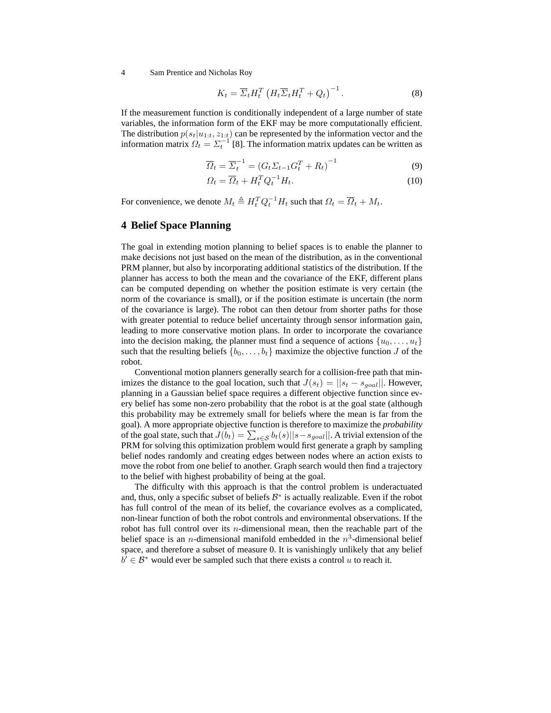4 Sam Prentice and Nicholas Roy

$$
K_t = \overline{\Sigma}_t H_t^T \left( H_t \overline{\Sigma}_t H_t^T + Q_t \right)^{-1}.
$$
 (8)

If the measurement function is conditionally independent of a large number of state variables, the information form of the EKF may be more computationally efficient. The distribution  $p(s_t|u_{1:t}, z_{1:t})$  can be represented by the information vector and the information matrix  $\Omega_t = \Sigma_t^{-1}$  [8]. The information matrix updates can be written as

$$
\overline{\Omega}_t = \overline{\Sigma}_t^{-1} = (G_t \Sigma_{t-1} G_t^T + R_t)^{-1}
$$
\n(9)

$$
\Omega_t = \overline{\Omega}_t + H_t^T Q_t^{-1} H_t. \tag{10}
$$

For convenience, we denote  $M_t \triangleq H_t^T Q_t^{-1} H_t$  such that  $\Omega_t = \overline{\Omega}_t + M_t$ .

## **4 Belief Space Planning**

The goal in extending motion planning to belief spaces is to enable the planner to make decisions not just based on the mean of the distribution, as in the conventional PRM planner, but also by incorporating additional statistics of the distribution. If the planner has access to both the mean and the covariance of the EKF, different plans can be computed depending on whether the position estimate is very certain (the norm of the covariance is small), or if the position estimate is uncertain (the norm of the covariance is large). The robot can then detour from shorter paths for those with greater potential to reduce belief uncertainty through sensor information gain, leading to more conservative motion plans. In order to incorporate the covariance into the decision making, the planner must find a sequence of actions  $\{u_0, \ldots, u_t\}$ such that the resulting beliefs  $\{b_0, \ldots, b_t\}$  maximize the objective function J of the robot.

Conventional motion planners generally search for a collision-free path that minimizes the distance to the goal location, such that  $J(s_t) = ||s_t - s_{goal}||$ . However, planning in a Gaussian belief space requires a different objective function since every belief has some non-zero probability that the robot is at the goal state (although this probability may be extremely small for beliefs where the mean is far from the goal). A more appropriate objective function is therefore to maximize the *probability* of the goal state, such that  $J(b_t) = \sum_{s \in \mathcal{S}} b_t(s) ||s - s_{goal}||$ . A trivial extension of the PRM for solving this optimization problem would first generate a graph by sampling belief nodes randomly and creating edges between nodes where an action exists to move the robot from one belief to another. Graph search would then find a trajectory to the belief with highest probability of being at the goal.

The difficulty with this approach is that the control problem is underactuated and, thus, only a specific subset of beliefs  $\mathcal{B}^*$  is actually realizable. Even if the robot has full control of the mean of its belief, the covariance evolves as a complicated, non-linear function of both the robot controls and environmental observations. If the robot has full control over its  $n$ -dimensional mean, then the reachable part of the belief space is an *n*-dimensional manifold embedded in the  $n^3$ -dimensional belief space, and therefore a subset of measure 0. It is vanishingly unlikely that any belief  $\vec{b'} \in \mathcal{B}^*$  would ever be sampled such that there exists a control u to reach it.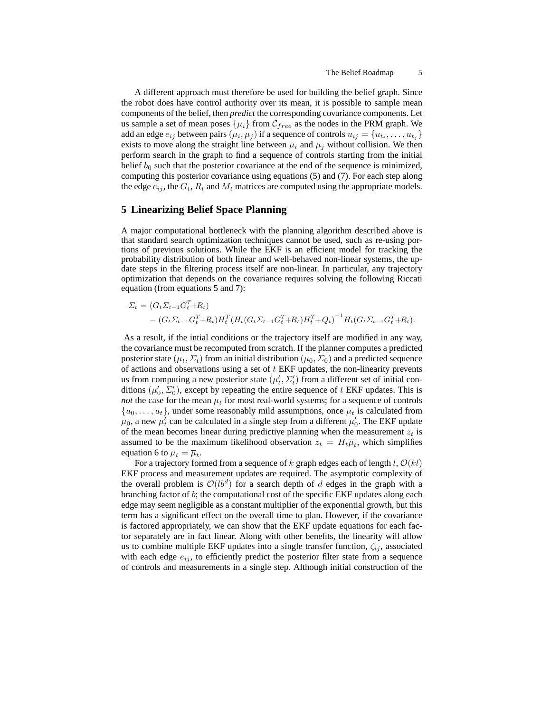A different approach must therefore be used for building the belief graph. Since the robot does have control authority over its mean, it is possible to sample mean components of the belief, then *predict* the corresponding covariance components. Let us sample a set of mean poses  $\{\mu_i\}$  from  $C_{free}$  as the nodes in the PRM graph. We add an edge  $e_{ij}$  between pairs  $(\mu_i, \mu_j)$  if a sequence of controls  $u_{ij} = \{u_{t_i}, \ldots, u_{t_j}\}$ exists to move along the straight line between  $\mu_i$  and  $\mu_j$  without collision. We then perform search in the graph to find a sequence of controls starting from the initial belief  $b_0$  such that the posterior covariance at the end of the sequence is minimized, computing this posterior covariance using equations (5) and (7). For each step along the edge  $e_{ij}$ , the  $G_t$ ,  $R_t$  and  $M_t$  matrices are computed using the appropriate models.

## **5 Linearizing Belief Space Planning**

A major computational bottleneck with the planning algorithm described above is that standard search optimization techniques cannot be used, such as re-using portions of previous solutions. While the EKF is an efficient model for tracking the probability distribution of both linear and well-behaved non-linear systems, the update steps in the filtering process itself are non-linear. In particular, any trajectory optimization that depends on the covariance requires solving the following Riccati equation (from equations 5 and 7):

$$
\Sigma_t = (G_t \Sigma_{t-1} G_t^T + R_t) - (G_t \Sigma_{t-1} G_t^T + R_t) H_t^T (H_t (G_t \Sigma_{t-1} G_t^T + R_t) H_t^T + Q_t)^{-1} H_t (G_t \Sigma_{t-1} G_t^T + R_t).
$$

As a result, if the intial conditions or the trajectory itself are modified in any way, the covariance must be recomputed from scratch. If the planner computes a predicted posterior state ( $\mu_t$ ,  $\Sigma_t$ ) from an initial distribution ( $\mu_0$ ,  $\Sigma_0$ ) and a predicted sequence of actions and observations using a set of  $t$  EKF updates, the non-linearity prevents us from computing a new posterior state  $(\mu_t', \Sigma_t')$  from a different set of initial conditions  $(\mu'_0, \Sigma'_0)$ , except by repeating the entire sequence of t EKF updates. This is *not* the case for the mean  $\mu_t$  for most real-world systems; for a sequence of controls  $\{u_0, \ldots, u_t\}$ , under some reasonably mild assumptions, once  $\mu_t$  is calculated from  $\mu_0$ , a new  $\mu'_t$  can be calculated in a single step from a different  $\mu'_0$ . The EKF update of the mean becomes linear during predictive planning when the measurement  $z_t$  is assumed to be the maximum likelihood observation  $z_t = H_t \overline{\mu}_t$ , which simplifies equation 6 to  $\mu_t = \overline{\mu}_t$ .

For a trajectory formed from a sequence of k graph edges each of length  $l, \mathcal{O}(kl)$ EKF process and measurement updates are required. The asymptotic complexity of the overall problem is  $O(l b^d)$  for a search depth of d edges in the graph with a branching factor of b; the computational cost of the specific EKF updates along each edge may seem negligible as a constant multiplier of the exponential growth, but this term has a significant effect on the overall time to plan. However, if the covariance is factored appropriately, we can show that the EKF update equations for each factor separately are in fact linear. Along with other benefits, the linearity will allow us to combine multiple EKF updates into a single transfer function,  $\zeta_{ij}$ , associated with each edge  $e_{ij}$ , to efficiently predict the posterior filter state from a sequence of controls and measurements in a single step. Although initial construction of the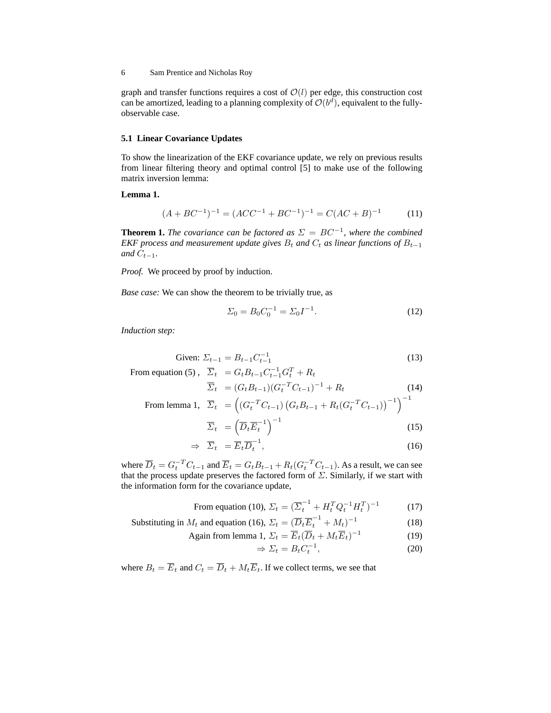graph and transfer functions requires a cost of  $O(l)$  per edge, this construction cost can be amortized, leading to a planning complexity of  $\mathcal{O}(b^d)$ , equivalent to the fullyobservable case.

### **5.1 Linear Covariance Updates**

To show the linearization of the EKF covariance update, we rely on previous results from linear filtering theory and optimal control [5] to make use of the following matrix inversion lemma:

#### **Lemma 1.**

$$
(A + BC^{-1})^{-1} = (ACC^{-1} + BC^{-1})^{-1} = C(AC + B)^{-1}
$$
 (11)

**Theorem 1.** *The covariance can be factored as*  $\Sigma = BC^{-1}$ , *where the combined EKF process and measurement update gives*  $B_t$  *and*  $C_t$  *as linear functions of*  $B_{t-1}$ *and*  $C_{t-1}$ *.* 

*Proof.* We proceed by proof by induction.

*Base case:* We can show the theorem to be trivially true, as

$$
\Sigma_0 = B_0 C_0^{-1} = \Sigma_0 I^{-1}.
$$
\n(12)

*Induction step:*

Given: 
$$
\Sigma_{t-1} = B_{t-1} C_{t-1}^{-1}
$$
 (13)

From equation (5), 
$$
\overline{\Sigma}_t = G_t B_{t-1} C_{t-1}^{-1} G_t^T + R_t
$$
  
\n
$$
\overline{\Sigma}_t = (G_t B_{t-1}) (G_t^{-T} C_{t-1})^{-1} + R_t
$$
\nFrom lemma 1,  $\overline{\Sigma}_t = ((G_t^{-T} C_{t-1}) (G_t B_{t-1} + R_t (G_t^{-T} C_{t-1}))^{-1})^{-1}$ 

$$
\overline{\Sigma}_t = \left(\overline{D}_t \overline{E}_t^{-1}\right)^{-1} \tag{15}
$$

$$
\Rightarrow \overline{\Sigma}_t = \overline{E}_t \overline{D}_t^{-1}, \tag{16}
$$

where  $\overline{D}_t = G_t^{-T} C_{t-1}$  and  $\overline{E}_t = G_t B_{t-1} + R_t (G_t^{-T} C_{t-1})$ . As a result, we can see that the process update preserves the factored form of  $\Sigma$ . Similarly, if we start with the information form for the covariance update,

From equation (10), 
$$
\Sigma_t = (\overline{\Sigma}_t^{-1} + H_t^T Q_t^{-1} H_t^T)^{-1}
$$
 (17)

Substituting in 
$$
M_t
$$
 and equation (16),  $\Sigma_t = (\overline{D}_t \overline{E}_t^{-1} + M_t)^{-1}$  (18)

Again from lemma 1, 
$$
\Sigma_t = \overline{E}_t (\overline{D}_t + M_t \overline{E}_t)^{-1}
$$
 (19)

$$
\Rightarrow \Sigma_t = B_t C_t^{-1},\tag{20}
$$

where  $B_t = \overline{E}_t$  and  $C_t = \overline{D}_t + M_t \overline{E}_t$ . If we collect terms, we see that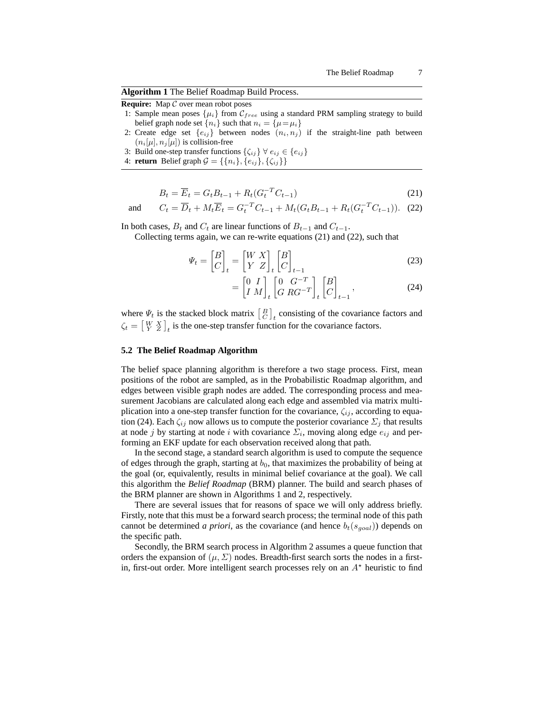| Algorithm 1 The Belief Roadmap Build Process. |  |  |  |  |  |
|-----------------------------------------------|--|--|--|--|--|
|-----------------------------------------------|--|--|--|--|--|

#### **Require:** Map C over mean robot poses

- 1: Sample mean poses  $\{\mu_i\}$  from  $C_{free}$  using a standard PRM sampling strategy to build belief graph node set  $\{n_i\}$  such that  $n_i = \{\mu = \mu_i\}$
- 2: Create edge set  ${e_{ij}}$  between nodes  $(n_i, n_j)$  if the straight-line path between  $(n_i[\mu], n_j[\mu])$  is collision-free
- 3: Build one-step transfer functions  $\{\zeta_{ij}\}\ \forall\ e_{ij} \in \{e_{ij}\}\$
- 4: **return** Belief graph  $G = \{\{n_i\}, \{e_{ij}\}, \{\zeta_{ij}\}\}\$

$$
B_t = \overline{E}_t = G_t B_{t-1} + R_t (G_t^{-T} C_{t-1})
$$
\n(21)

and 
$$
C_t = \overline{D}_t + M_t \overline{E}_t = G_t^{-T} C_{t-1} + M_t (G_t B_{t-1} + R_t (G_t^{-T} C_{t-1})).
$$
 (22)

In both cases,  $B_t$  and  $C_t$  are linear functions of  $B_{t-1}$  and  $C_{t-1}$ .

Collecting terms again, we can re-write equations (21) and (22), such that

$$
\Psi_t = \begin{bmatrix} B \\ C \end{bmatrix}_t = \begin{bmatrix} W & X \\ Y & Z \end{bmatrix}_t \begin{bmatrix} B \\ C \end{bmatrix}_{t-1}
$$
\n(23)

$$
= \begin{bmatrix} 0 & I \\ I & M \end{bmatrix}_t \begin{bmatrix} 0 & G^{-T} \\ G & RG^{-T} \end{bmatrix}_t \begin{bmatrix} B \\ C \end{bmatrix}_{t-1}, \tag{24}
$$

where  $\Psi_t$  is the stacked block matrix  $\begin{bmatrix} B \\ C \end{bmatrix}_t$  consisting of the covariance factors and  $\zeta_t = \begin{bmatrix} W & X \\ Y & Z \end{bmatrix}_t$  is the one-step transfer function for the covariance factors.

#### **5.2 The Belief Roadmap Algorithm**

The belief space planning algorithm is therefore a two stage process. First, mean positions of the robot are sampled, as in the Probabilistic Roadmap algorithm, and edges between visible graph nodes are added. The corresponding process and measurement Jacobians are calculated along each edge and assembled via matrix multiplication into a one-step transfer function for the covariance,  $\zeta_{ij}$ , according to equation (24). Each  $\zeta_{ij}$  now allows us to compute the posterior covariance  $\Sigma_j$  that results at node j by starting at node i with covariance  $\Sigma_i$ , moving along edge  $e_{ij}$  and performing an EKF update for each observation received along that path.

In the second stage, a standard search algorithm is used to compute the sequence of edges through the graph, starting at  $b_0$ , that maximizes the probability of being at the goal (or, equivalently, results in minimal belief covariance at the goal). We call this algorithm the *Belief Roadmap* (BRM) planner. The build and search phases of the BRM planner are shown in Algorithms 1 and 2, respectively.

There are several issues that for reasons of space we will only address briefly. Firstly, note that this must be a forward search process; the terminal node of this path cannot be determined *a priori*, as the covariance (and hence  $b_t(s_{goal})$ ) depends on the specific path.

Secondly, the BRM search process in Algorithm 2 assumes a queue function that orders the expansion of  $(\mu, \Sigma)$  nodes. Breadth-first search sorts the nodes in a firstin, first-out order. More intelligent search processes rely on an  $A^*$  heuristic to find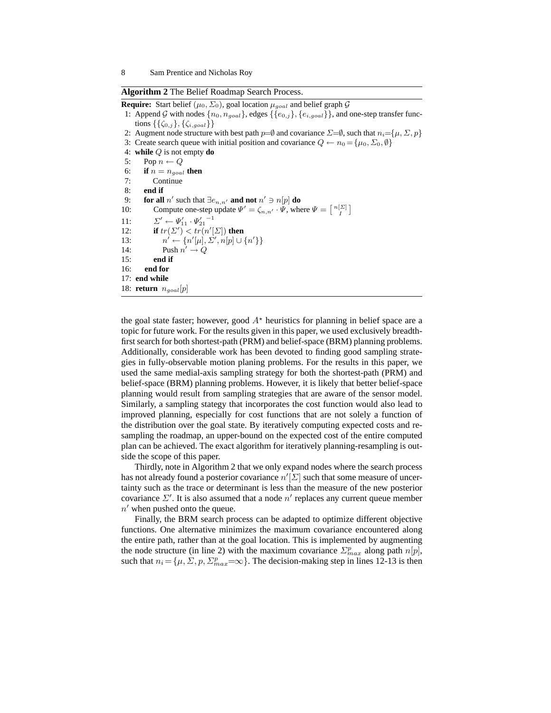**Algorithm 2** The Belief Roadmap Search Process.

**Require:** Start belief  $(\mu_0, \Sigma_0)$ , goal location  $\mu_{goal}$  and belief graph  $\mathcal G$ 

1: Append G with nodes  $\{n_0, n_{goal}\}$ , edges  $\{\{e_{0,j}\}, \{e_{i,goal}\}\}$ , and one-step transfer functions  $\{\{\zeta_{0,j}\},\{\zeta_{i,goal}\}\}\$ 

2: Augment node structure with best path  $p=\emptyset$  and covariance  $\Sigma=\emptyset$ , such that  $n_i=\{\mu, \Sigma, p\}$ 

3: Create search queue with initial position and covariance  $Q \leftarrow n_0 = {\mu_0, \Sigma_0, \emptyset}$ 

```
4: while Q is not empty do
 5: Pop n \leftarrow Q6: if n = n_{goal} then
 7: Continue
 8: end if
 9: for all n' such that \exists e_{n,n'} and not n' \ni n[p] do
10: Compute one-step update \Psi' = \zeta_{n,n'} \cdot \Psi, where \Psi = \begin{bmatrix} n[\Sigma] \\ I \end{bmatrix}11:\text{\textit{'}} \leftarrow {\textit{ \Psi}}_{11}' \cdot {\textit{ \Psi}}_{21}'{}^{-1}12: if tr(\Sigma') < tr(n'[\Sigma]) then
13:\hat{C} \leftarrow \{n'[\mu], \Sigma', n[p] \cup \{n'\}\}14: Push n' \rightarrow Q15: end if
16: end for
17: end while
18: return n_{goal}[p]
```
the goal state faster; however, good  $A^*$  heuristics for planning in belief space are a topic for future work. For the results given in this paper, we used exclusively breadthfirst search for both shortest-path (PRM) and belief-space (BRM) planning problems. Additionally, considerable work has been devoted to finding good sampling strategies in fully-observable motion planing problems. For the results in this paper, we used the same medial-axis sampling strategy for both the shortest-path (PRM) and belief-space (BRM) planning problems. However, it is likely that better belief-space planning would result from sampling strategies that are aware of the sensor model. Similarly, a sampling stategy that incorporates the cost function would also lead to improved planning, especially for cost functions that are not solely a function of the distribution over the goal state. By iteratively computing expected costs and resampling the roadmap, an upper-bound on the expected cost of the entire computed plan can be achieved. The exact algorithm for iteratively planning-resampling is outside the scope of this paper.

Thirdly, note in Algorithm 2 that we only expand nodes where the search process has not already found a posterior covariance  $n'[\Sigma]$  such that some measure of uncertainty such as the trace or determinant is less than the measure of the new posterior covariance  $\Sigma'$ . It is also assumed that a node  $n'$  replaces any current queue member  $n'$  when pushed onto the queue.

Finally, the BRM search process can be adapted to optimize different objective functions. One alternative minimizes the maximum covariance encountered along the entire path, rather than at the goal location. This is implemented by augmenting the node structure (in line 2) with the maximum covariance  $\Sigma_{max}^p$  along path  $n[p]$ , such that  $n_i = {\mu, \Sigma, p, \Sigma_{max}^p = \infty}$ . The decision-making step in lines 12-13 is then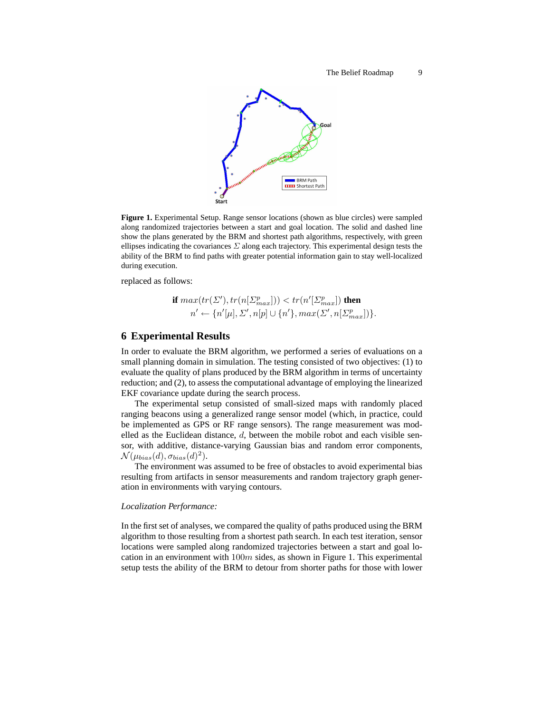

**Figure 1.** Experimental Setup. Range sensor locations (shown as blue circles) were sampled along randomized trajectories between a start and goal location. The solid and dashed line show the plans generated by the BRM and shortest path algorithms, respectively, with green ellipses indicating the covariances  $\Sigma$  along each trajectory. This experimental design tests the ability of the BRM to find paths with greater potential information gain to stay well-localized during execution.

replaced as follows:

$$
\begin{aligned} \text{if } & \max(tr(\varSigma'), tr(n[\varSigma_{max}^p])) < tr(n'[\varSigma_{max}^p]) \text{ then}\\ & n' \leftarrow \{n'[\mu], \varSigma', n[p] \cup \{n'\}, max(\varSigma', n[\varSigma_{max}^p])\}. \end{aligned}
$$

## **6 Experimental Results**

In order to evaluate the BRM algorithm, we performed a series of evaluations on a small planning domain in simulation. The testing consisted of two objectives: (1) to evaluate the quality of plans produced by the BRM algorithm in terms of uncertainty reduction; and (2), to assess the computational advantage of employing the linearized EKF covariance update during the search process.

The experimental setup consisted of small-sized maps with randomly placed ranging beacons using a generalized range sensor model (which, in practice, could be implemented as GPS or RF range sensors). The range measurement was modelled as the Euclidean distance,  $d$ , between the mobile robot and each visible sensor, with additive, distance-varying Gaussian bias and random error components,  $\mathcal{N}(\mu_{bias}(d), \sigma_{bias}(d)^2).$ 

The environment was assumed to be free of obstacles to avoid experimental bias resulting from artifacts in sensor measurements and random trajectory graph generation in environments with varying contours.

#### *Localization Performance:*

In the first set of analyses, we compared the quality of paths produced using the BRM algorithm to those resulting from a shortest path search. In each test iteration, sensor locations were sampled along randomized trajectories between a start and goal location in an environment with  $100m$  sides, as shown in Figure 1. This experimental setup tests the ability of the BRM to detour from shorter paths for those with lower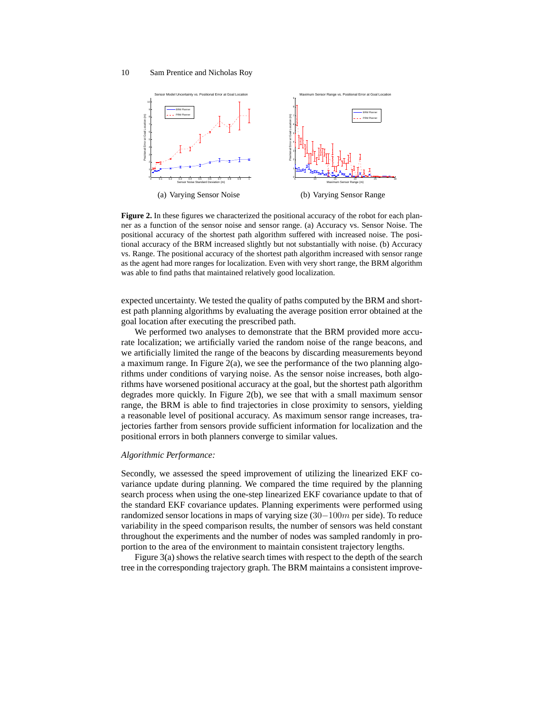

**Figure 2.** In these figures we characterized the positional accuracy of the robot for each planner as a function of the sensor noise and sensor range. (a) Accuracy vs. Sensor Noise. The positional accuracy of the shortest path algorithm suffered with increased noise. The positional accuracy of the BRM increased slightly but not substantially with noise. (b) Accuracy vs. Range. The positional accuracy of the shortest path algorithm increased with sensor range as the agent had more ranges for localization. Even with very short range, the BRM algorithm was able to find paths that maintained relatively good localization.

expected uncertainty. We tested the quality of paths computed by the BRM and shortest path planning algorithms by evaluating the average position error obtained at the goal location after executing the prescribed path.

We performed two analyses to demonstrate that the BRM provided more accurate localization; we artificially varied the random noise of the range beacons, and we artificially limited the range of the beacons by discarding measurements beyond a maximum range. In Figure 2(a), we see the performance of the two planning algorithms under conditions of varying noise. As the sensor noise increases, both algorithms have worsened positional accuracy at the goal, but the shortest path algorithm degrades more quickly. In Figure 2(b), we see that with a small maximum sensor range, the BRM is able to find trajectories in close proximity to sensors, yielding a reasonable level of positional accuracy. As maximum sensor range increases, trajectories farther from sensors provide sufficient information for localization and the positional errors in both planners converge to similar values.

#### *Algorithmic Performance:*

Secondly, we assessed the speed improvement of utilizing the linearized EKF covariance update during planning. We compared the time required by the planning search process when using the one-step linearized EKF covariance update to that of the standard EKF covariance updates. Planning experiments were performed using randomized sensor locations in maps of varying size  $(30-100m)$  per side). To reduce variability in the speed comparison results, the number of sensors was held constant throughout the experiments and the number of nodes was sampled randomly in proportion to the area of the environment to maintain consistent trajectory lengths.

Figure 3(a) shows the relative search times with respect to the depth of the search tree in the corresponding trajectory graph. The BRM maintains a consistent improve-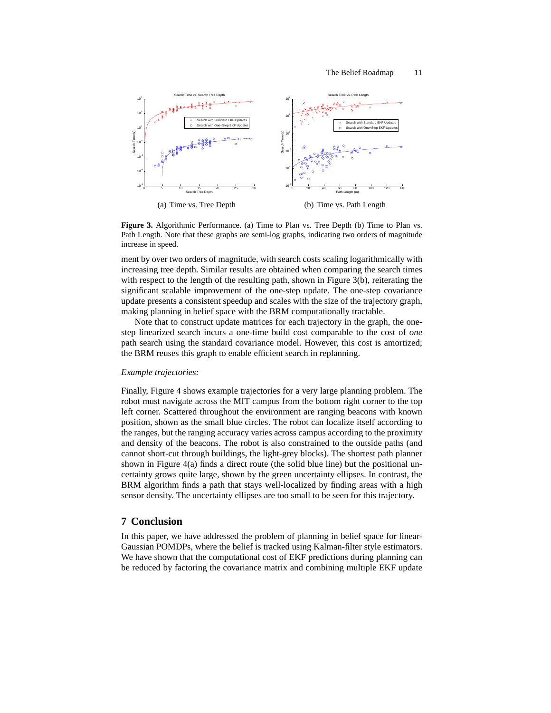

**Figure 3.** Algorithmic Performance. (a) Time to Plan vs. Tree Depth (b) Time to Plan vs. Path Length. Note that these graphs are semi-log graphs, indicating two orders of magnitude increase in speed.

ment by over two orders of magnitude, with search costs scaling logarithmically with increasing tree depth. Similar results are obtained when comparing the search times with respect to the length of the resulting path, shown in Figure 3(b), reiterating the significant scalable improvement of the one-step update. The one-step covariance update presents a consistent speedup and scales with the size of the trajectory graph, making planning in belief space with the BRM computationally tractable.

Note that to construct update matrices for each trajectory in the graph, the onestep linearized search incurs a one-time build cost comparable to the cost of *one* path search using the standard covariance model. However, this cost is amortized; the BRM reuses this graph to enable efficient search in replanning.

#### *Example trajectories:*

Finally, Figure 4 shows example trajectories for a very large planning problem. The robot must navigate across the MIT campus from the bottom right corner to the top left corner. Scattered throughout the environment are ranging beacons with known position, shown as the small blue circles. The robot can localize itself according to the ranges, but the ranging accuracy varies across campus according to the proximity and density of the beacons. The robot is also constrained to the outside paths (and cannot short-cut through buildings, the light-grey blocks). The shortest path planner shown in Figure  $4(a)$  finds a direct route (the solid blue line) but the positional uncertainty grows quite large, shown by the green uncertainty ellipses. In contrast, the BRM algorithm finds a path that stays well-localized by finding areas with a high sensor density. The uncertainty ellipses are too small to be seen for this trajectory.

## **7 Conclusion**

In this paper, we have addressed the problem of planning in belief space for linear-Gaussian POMDPs, where the belief is tracked using Kalman-filter style estimators. We have shown that the computational cost of EKF predictions during planning can be reduced by factoring the covariance matrix and combining multiple EKF update